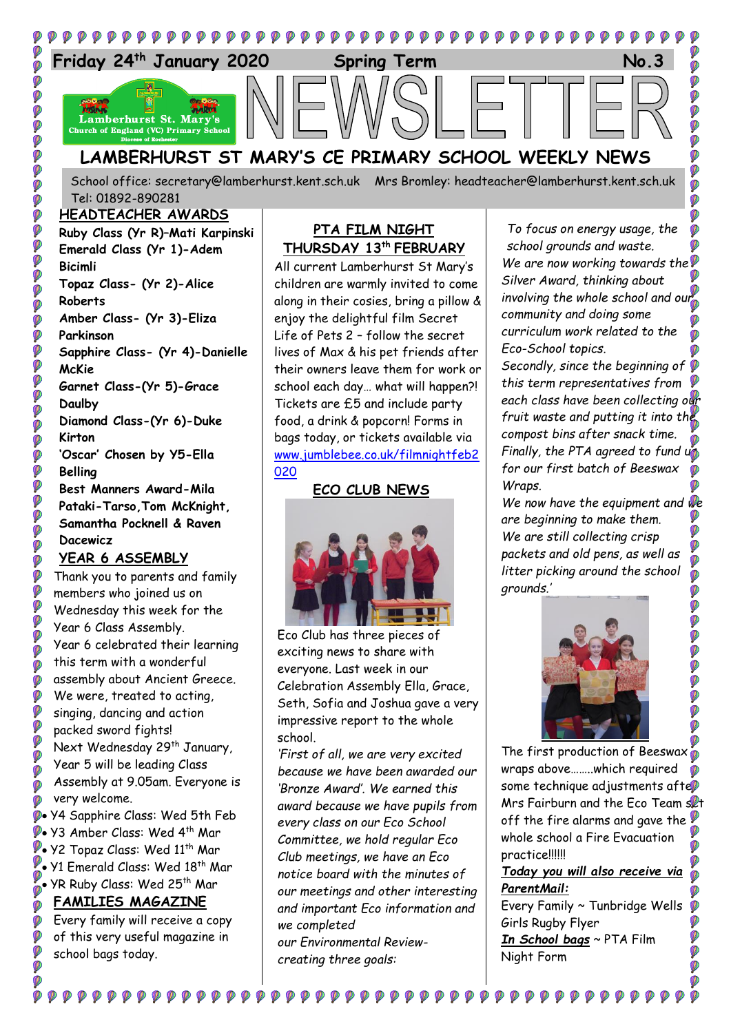

Thank you to parents and family members who joined us on Wednesday this week for the Year 6 Class Assembly. Year 6 celebrated their learning this term with a wonderful assembly about Ancient Greece. We were, treated to acting, singing, dancing and action packed sword fights! Next Wednesday 29<sup>th</sup> January, Year 5 will be leading Class Assembly at 9.05am. Everyone is very welcome. Y4 Sapphire Class: Wed 5th Feb

Ø Ø Ø Ø Ø Ø  $\ddot{\textbf{C}}$ Ø Ø Ø Ø Ø Ø Ø Ø

Ø

Ø

• Y3 Amber Class: Wed 4th Mar Y2 Topaz Class: Wed 11th Mar 9 Y1 Emerald Class: Wed 18<sup>th</sup> Mar YR Ruby Class: Wed 25th Mar Ø

## **FAMILIES MAGAZINE**

Every family will receive a copy of this very useful magazine in school bags today.

 $\mathcal{P} \mathcal{P} \mathcal{P} \mathcal{P}$ 



Eco Club has three pieces of exciting news to share with everyone. Last week in our Celebration Assembly Ella, Grace, Seth, Sofia and Joshua gave a very impressive report to the whole school.

*'First of all, we are very excited because we have been awarded our 'Bronze Award'. We earned this award because we have pupils from every class on our Eco School Committee, we hold regular Eco Club meetings, we have an Eco notice board with the minutes of our meetings and other interesting and important Eco information and we completed our Environmental Reviewcreating three goals:* 

*litter picking around the school grounds.'*



The first production of Beeswax wraps above……..which required some technique adjustments afte Mrs Fairburn and the Eco Team set off the fire alarms and gave the whole school a Fire Evacuation practice!!!!!!

## *Today you will also receive via ParentMail:*

Ø

Every Family ~ Tunbridge Wells Girls Rugby Flyer *In School bags* ~ PTA Film Night Form

 $\bullet\bullet\bullet\bullet\bullet$